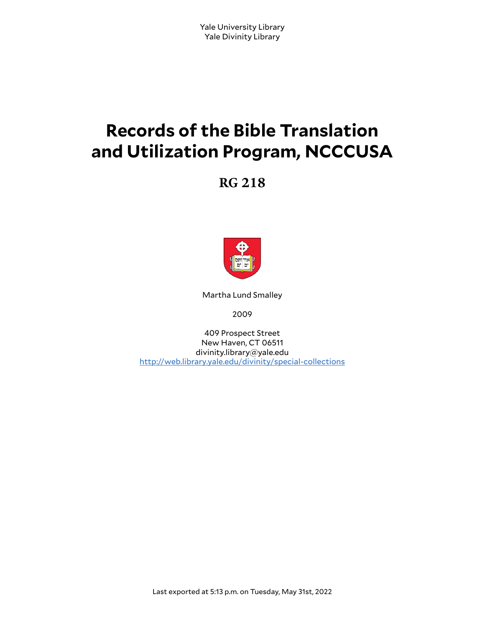# **Records of the Bible Translation and Utilization Program, NCCCUSA**

**RG 218**



Martha Lund Smalley

2009

409 Prospect Street New Haven, CT 06511 divinity.library@yale.edu <http://web.library.yale.edu/divinity/special-collections>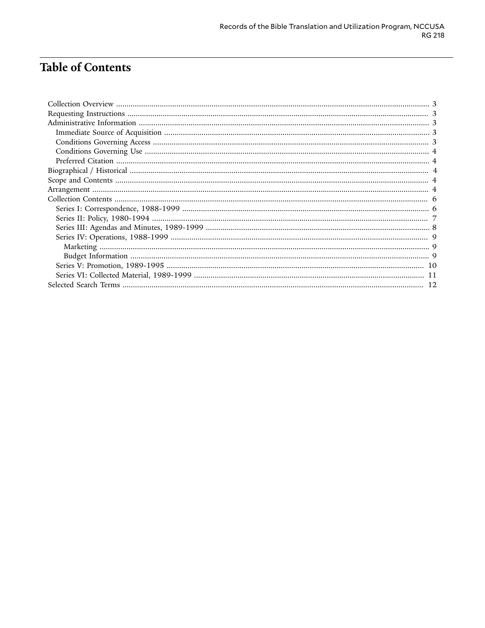# **Table of Contents**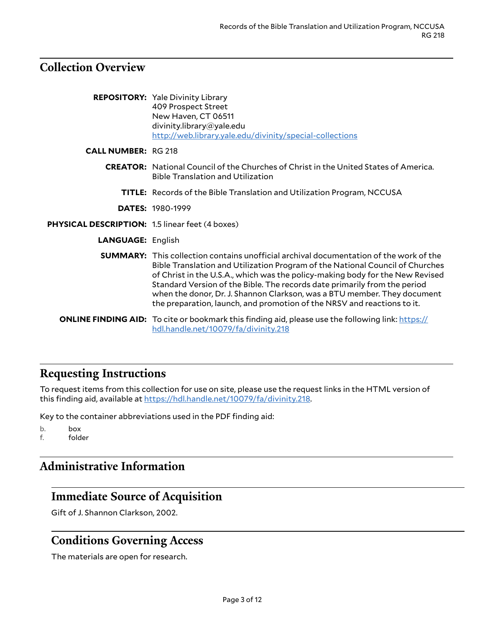### <span id="page-2-0"></span>**Collection Overview**

|                                                        | <b>REPOSITORY:</b> Yale Divinity Library<br>409 Prospect Street<br>New Haven, CT 06511<br>divinity.library@yale.edu<br>http://web.library.yale.edu/divinity/special-collections                                                                                                                                                                                                                                                                                                                     |
|--------------------------------------------------------|-----------------------------------------------------------------------------------------------------------------------------------------------------------------------------------------------------------------------------------------------------------------------------------------------------------------------------------------------------------------------------------------------------------------------------------------------------------------------------------------------------|
| <b>CALL NUMBER: RG 218</b>                             |                                                                                                                                                                                                                                                                                                                                                                                                                                                                                                     |
|                                                        | <b>CREATOR:</b> National Council of the Churches of Christ in the United States of America.<br><b>Bible Translation and Utilization</b>                                                                                                                                                                                                                                                                                                                                                             |
|                                                        | <b>TITLE:</b> Records of the Bible Translation and Utilization Program, NCCUSA                                                                                                                                                                                                                                                                                                                                                                                                                      |
|                                                        | <b>DATES: 1980-1999</b>                                                                                                                                                                                                                                                                                                                                                                                                                                                                             |
| <b>PHYSICAL DESCRIPTION: 1.5 linear feet (4 boxes)</b> |                                                                                                                                                                                                                                                                                                                                                                                                                                                                                                     |
| <b>LANGUAGE: English</b>                               |                                                                                                                                                                                                                                                                                                                                                                                                                                                                                                     |
|                                                        | <b>SUMMARY:</b> This collection contains unofficial archival documentation of the work of the<br>Bible Translation and Utilization Program of the National Council of Churches<br>of Christ in the U.S.A., which was the policy-making body for the New Revised<br>Standard Version of the Bible. The records date primarily from the period<br>when the donor, Dr. J. Shannon Clarkson, was a BTU member. They document<br>the preparation, launch, and promotion of the NRSV and reactions to it. |
|                                                        | <b>ONLINE FINDING AID:</b> To cite or bookmark this finding aid, please use the following link: https://<br>hdl.handle.net/10079/fa/divinity.218                                                                                                                                                                                                                                                                                                                                                    |

# <span id="page-2-1"></span>**Requesting Instructions**

To request items from this collection for use on site, please use the request links in the HTML version of this finding aid, available at [https://hdl.handle.net/10079/fa/divinity.218.](https://hdl.handle.net/10079/fa/divinity.218)

Key to the container abbreviations used in the PDF finding aid:

b. box f. folder

# <span id="page-2-2"></span>**Administrative Information**

# <span id="page-2-3"></span>**Immediate Source of Acquisition**

Gift of J. Shannon Clarkson, 2002.

#### <span id="page-2-4"></span>**Conditions Governing Access**

The materials are open for research.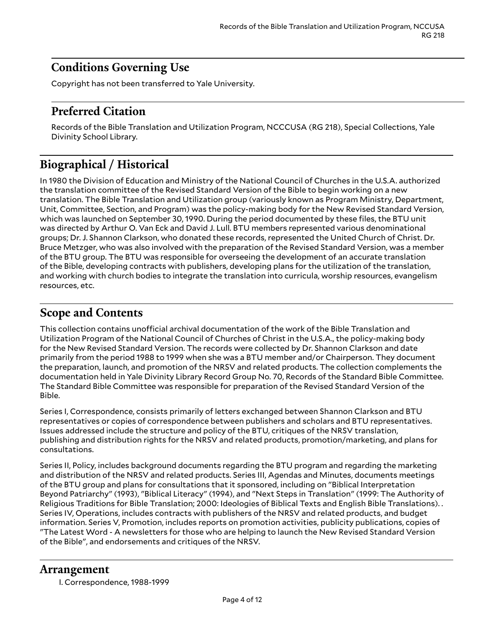### <span id="page-3-0"></span>**Conditions Governing Use**

Copyright has not been transferred to Yale University.

### <span id="page-3-1"></span>**Preferred Citation**

Records of the Bible Translation and Utilization Program, NCCCUSA (RG 218), Special Collections, Yale Divinity School Library.

# <span id="page-3-2"></span>**Biographical / Historical**

In 1980 the Division of Education and Ministry of the National Council of Churches in the U.S.A. authorized the translation committee of the Revised Standard Version of the Bible to begin working on a new translation. The Bible Translation and Utilization group (variously known as Program Ministry, Department, Unit, Committee, Section, and Program) was the policy-making body for the New Revised Standard Version, which was launched on September 30, 1990. During the period documented by these files, the BTU unit was directed by Arthur O. Van Eck and David J. Lull. BTU members represented various denominational groups; Dr. J. Shannon Clarkson, who donated these records, represented the United Church of Christ. Dr. Bruce Metzger, who was also involved with the preparation of the Revised Standard Version, was a member of the BTU group. The BTU was responsible for overseeing the development of an accurate translation of the Bible, developing contracts with publishers, developing plans for the utilization of the translation, and working with church bodies to integrate the translation into curricula, worship resources, evangelism resources, etc.

#### <span id="page-3-3"></span>**Scope and Contents**

This collection contains unofficial archival documentation of the work of the Bible Translation and Utilization Program of the National Council of Churches of Christ in the U.S.A., the policy-making body for the New Revised Standard Version. The records were collected by Dr. Shannon Clarkson and date primarily from the period 1988 to 1999 when she was a BTU member and/or Chairperson. They document the preparation, launch, and promotion of the NRSV and related products. The collection complements the documentation held in Yale Divinity Library Record Group No. 70, Records of the Standard Bible Committee. The Standard Bible Committee was responsible for preparation of the Revised Standard Version of the Bible.

Series I, Correspondence, consists primarily of letters exchanged between Shannon Clarkson and BTU representatives or copies of correspondence between publishers and scholars and BTU representatives. Issues addressed include the structure and policy of the BTU, critiques of the NRSV translation, publishing and distribution rights for the NRSV and related products, promotion/marketing, and plans for consultations.

Series II, Policy, includes background documents regarding the BTU program and regarding the marketing and distribution of the NRSV and related products. Series III, Agendas and Minutes, documents meetings of the BTU group and plans for consultations that it sponsored, including on "Biblical Interpretation Beyond Patriarchy" (1993), "Biblical Literacy" (1994), and "Next Steps in Translation" (1999: The Authority of Religious Traditions for Bible Translation; 2000: Ideologies of Biblical Texts and English Bible Translations). . Series IV, Operations, includes contracts with publishers of the NRSV and related products, and budget information. Series V, Promotion, includes reports on promotion activities, publicity publications, copies of "The Latest Word - A newsletters for those who are helping to launch the New Revised Standard Version of the Bible", and endorsements and critiques of the NRSV.

#### <span id="page-3-4"></span>**Arrangement**

I. Correspondence, 1988-1999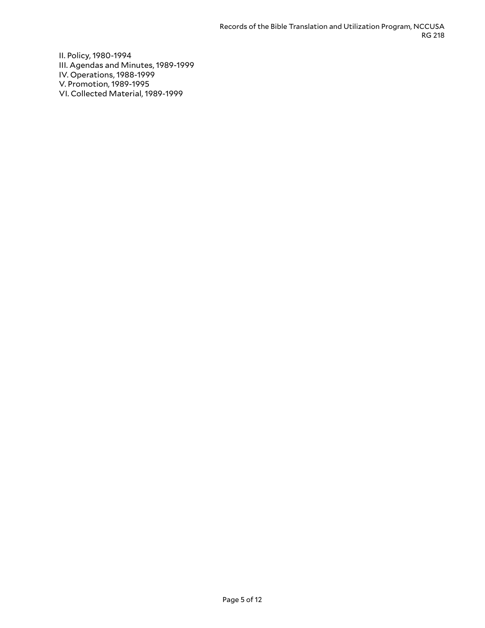II. Policy, 1980-1994 III. Agendas and Minutes, 1989-1999 IV. Operations, 1988-1999 V. Promotion, 1989-1995 VI. Collected Material, 1989-1999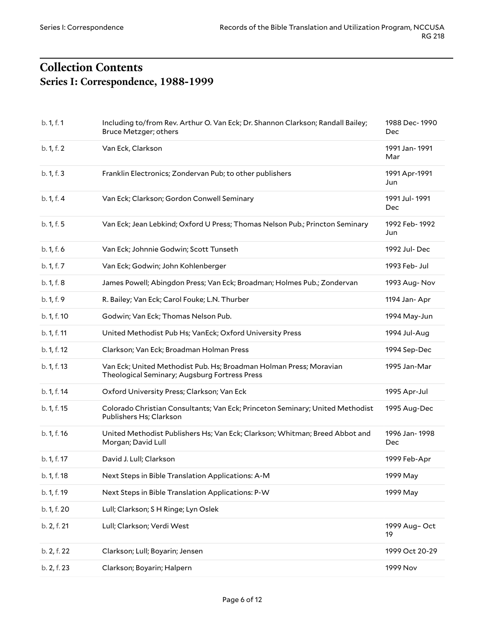# <span id="page-5-1"></span><span id="page-5-0"></span>**Collection Contents Series I: Correspondence, 1988-1999**

| b. 1, f. 1  | Including to/from Rev. Arthur O. Van Eck; Dr. Shannon Clarkson; Randall Bailey;<br>Bruce Metzger; others            | 1988 Dec-1990<br>Dec |
|-------------|---------------------------------------------------------------------------------------------------------------------|----------------------|
| b. 1, f. 2  | Van Eck, Clarkson                                                                                                   | 1991 Jan-1991<br>Mar |
| b. 1, f. 3  | Franklin Electronics; Zondervan Pub; to other publishers                                                            | 1991 Apr-1991<br>Jun |
| b. 1, f. 4  | Van Eck; Clarkson; Gordon Conwell Seminary                                                                          | 1991 Jul-1991<br>Dec |
| b. 1, f. 5  | Van Eck; Jean Lebkind; Oxford U Press; Thomas Nelson Pub.; Princton Seminary                                        | 1992 Feb-1992<br>Jun |
| b. 1, f. 6  | Van Eck; Johnnie Godwin; Scott Tunseth                                                                              | 1992 Jul-Dec         |
| b. 1, f. 7  | Van Eck; Godwin; John Kohlenberger                                                                                  | 1993 Feb- Jul        |
| b. 1, f. 8  | James Powell; Abingdon Press; Van Eck; Broadman; Holmes Pub.; Zondervan                                             | 1993 Aug-Nov         |
| b. 1, f. 9  | R. Bailey; Van Eck; Carol Fouke; L.N. Thurber                                                                       | 1194 Jan-Apr         |
| b. 1, f. 10 | Godwin; Van Eck; Thomas Nelson Pub.                                                                                 | 1994 May-Jun         |
| b. 1, f. 11 | United Methodist Pub Hs; VanEck; Oxford University Press                                                            | 1994 Jul-Aug         |
| b. 1, f. 12 | Clarkson; Van Eck; Broadman Holman Press                                                                            | 1994 Sep-Dec         |
| b. 1, f. 13 | Van Eck; United Methodist Pub. Hs; Broadman Holman Press; Moravian<br>Theological Seminary; Augsburg Fortress Press | 1995 Jan-Mar         |
| b. 1, f. 14 | Oxford University Press; Clarkson; Van Eck                                                                          | 1995 Apr-Jul         |
| b. 1, f. 15 | Colorado Christian Consultants; Van Eck; Princeton Seminary; United Methodist<br>Publishers Hs; Clarkson            | 1995 Aug-Dec         |
| b. 1, f. 16 | United Methodist Publishers Hs; Van Eck; Clarkson; Whitman; Breed Abbot and<br>Morgan; David Lull                   | 1996 Jan-1998<br>Dec |
| b. 1, f. 17 | David J. Lull; Clarkson                                                                                             | 1999 Feb-Apr         |
| b. 1, f. 18 | Next Steps in Bible Translation Applications: A-M                                                                   | 1999 May             |
| b. 1, f. 19 | Next Steps in Bible Translation Applications: P-W                                                                   | 1999 May             |
| b. 1, f. 20 | Lull; Clarkson; S H Ringe; Lyn Oslek                                                                                |                      |
| b. 2, f. 21 | Lull; Clarkson; Verdi West                                                                                          | 1999 Aug-Oct<br>19   |
| b. 2, f. 22 | Clarkson; Lull; Boyarin; Jensen                                                                                     | 1999 Oct 20-29       |
| b. 2, f. 23 | Clarkson; Boyarin; Halpern                                                                                          | 1999 Nov             |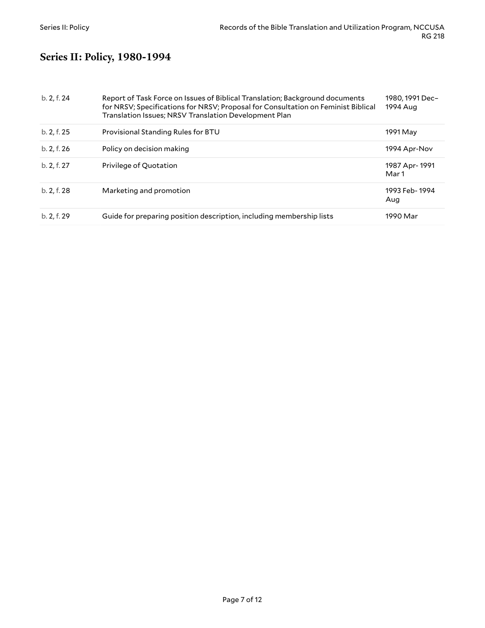# <span id="page-6-0"></span>**Series II: Policy, 1980-1994**

| b. 2, f. 24 | Report of Task Force on Issues of Biblical Translation; Background documents<br>for NRSV; Specifications for NRSV; Proposal for Consultation on Feminist Biblical<br>Translation Issues; NRSV Translation Development Plan | 1980.1991 Dec-<br>1994 Aug |
|-------------|----------------------------------------------------------------------------------------------------------------------------------------------------------------------------------------------------------------------------|----------------------------|
| b. 2, f. 25 | Provisional Standing Rules for BTU                                                                                                                                                                                         | 1991 May                   |
| b. 2, f. 26 | Policy on decision making                                                                                                                                                                                                  | 1994 Apr-Nov               |
| b. 2, f. 27 | Privilege of Quotation                                                                                                                                                                                                     | 1987 Apr-1991<br>Mar 1     |
| b. 2, f. 28 | Marketing and promotion                                                                                                                                                                                                    | 1993 Feb-1994<br>Aug       |
| b. 2, f. 29 | Guide for preparing position description, including membership lists                                                                                                                                                       | 1990 Mar                   |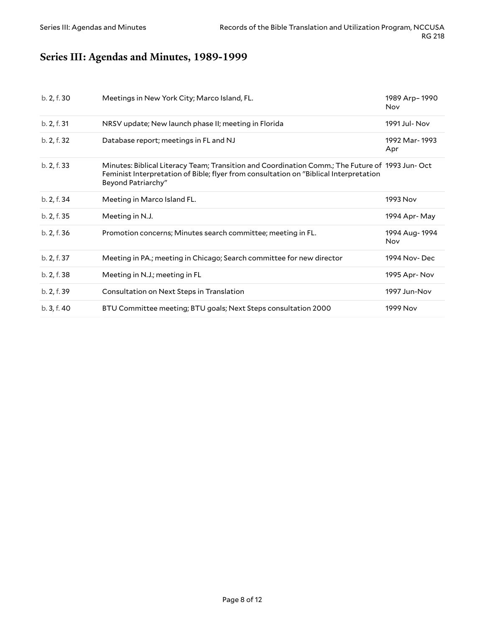# <span id="page-7-0"></span>**Series III: Agendas and Minutes, 1989-1999**

| b. 2, f. 30 | Meetings in New York City; Marco Island, FL.                                                                                                                                                                  | 1989 Arp-1990<br>Nov |
|-------------|---------------------------------------------------------------------------------------------------------------------------------------------------------------------------------------------------------------|----------------------|
| b. 2, f. 31 | NRSV update; New launch phase II; meeting in Florida                                                                                                                                                          | 1991 Jul- Nov        |
| b. 2, f. 32 | Database report; meetings in FL and NJ                                                                                                                                                                        | 1992 Mar-1993<br>Apr |
| b. 2, f. 33 | Minutes: Biblical Literacy Team; Transition and Coordination Comm.; The Future of 1993 Jun-Oct<br>Feminist Interpretation of Bible; flyer from consultation on "Biblical Interpretation<br>Beyond Patriarchy" |                      |
| b. 2, f. 34 | Meeting in Marco Island FL.                                                                                                                                                                                   | 1993 Nov             |
| b. 2, f. 35 | Meeting in N.J.                                                                                                                                                                                               | 1994 Apr-May         |
| b. 2, f. 36 | Promotion concerns; Minutes search committee; meeting in FL.                                                                                                                                                  | 1994 Aug-1994<br>Nov |
| b. 2, f. 37 | Meeting in PA.; meeting in Chicago; Search committee for new director                                                                                                                                         | 1994 Nov-Dec         |
| b. 2, f. 38 | Meeting in N.J.; meeting in FL                                                                                                                                                                                | 1995 Apr-Nov         |
| b. 2, f. 39 | Consultation on Next Steps in Translation                                                                                                                                                                     | 1997 Jun-Nov         |
| b. 3, f. 40 | BTU Committee meeting; BTU goals; Next Steps consultation 2000                                                                                                                                                | 1999 Nov             |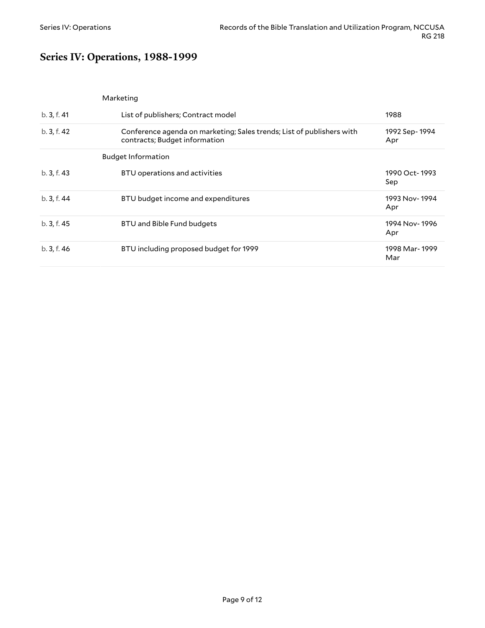# <span id="page-8-0"></span>**Series IV: Operations, 1988-1999**

<span id="page-8-2"></span><span id="page-8-1"></span>

|             | Marketing                                                                                              |                      |
|-------------|--------------------------------------------------------------------------------------------------------|----------------------|
| b. 3, f. 41 | List of publishers; Contract model                                                                     | 1988                 |
| b. 3, f. 42 | Conference agenda on marketing; Sales trends; List of publishers with<br>contracts; Budget information | 1992 Sep-1994<br>Apr |
|             | <b>Budget Information</b>                                                                              |                      |
| b. 3, f. 43 | BTU operations and activities                                                                          | 1990 Oct-1993<br>Sep |
| b.3, f.44   | BTU budget income and expenditures                                                                     | 1993 Nov-1994<br>Apr |
| b.3, f.45   | BTU and Bible Fund budgets                                                                             | 1994 Nov-1996<br>Apr |
| b. 3, f. 46 | BTU including proposed budget for 1999                                                                 | 1998 Mar-1999<br>Mar |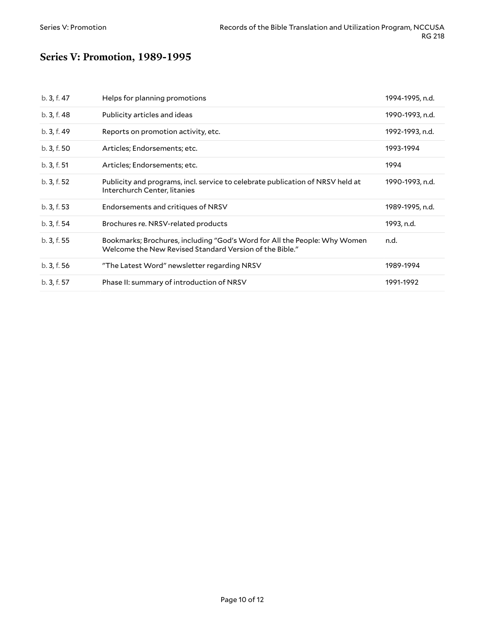# <span id="page-9-0"></span>**Series V: Promotion, 1989-1995**

| b. 3, f. 47 | Helps for planning promotions                                                                                                        | 1994-1995, n.d. |
|-------------|--------------------------------------------------------------------------------------------------------------------------------------|-----------------|
| b. 3, f. 48 | Publicity articles and ideas                                                                                                         | 1990-1993, n.d. |
| b. 3, f. 49 | Reports on promotion activity, etc.                                                                                                  | 1992-1993, n.d. |
| b.3, f.50   | Articles; Endorsements; etc.                                                                                                         | 1993-1994       |
| b. 3, f. 51 | Articles; Endorsements; etc.                                                                                                         | 1994            |
| b. 3, f. 52 | Publicity and programs, incl. service to celebrate publication of NRSV held at<br>Interchurch Center, litanies                       | 1990-1993, n.d. |
| b.3, f.53   | Endorsements and critiques of NRSV                                                                                                   | 1989-1995, n.d. |
| b.3, f.54   | Brochures re. NRSV-related products                                                                                                  | 1993, n.d.      |
| b. 3, f. 55 | Bookmarks; Brochures, including "God's Word for All the People: Why Women<br>Welcome the New Revised Standard Version of the Bible." | n.d.            |
| b.3, f.56   | "The Latest Word" newsletter regarding NRSV                                                                                          | 1989-1994       |
| b. 3, f. 57 | Phase II: summary of introduction of NRSV                                                                                            | 1991-1992       |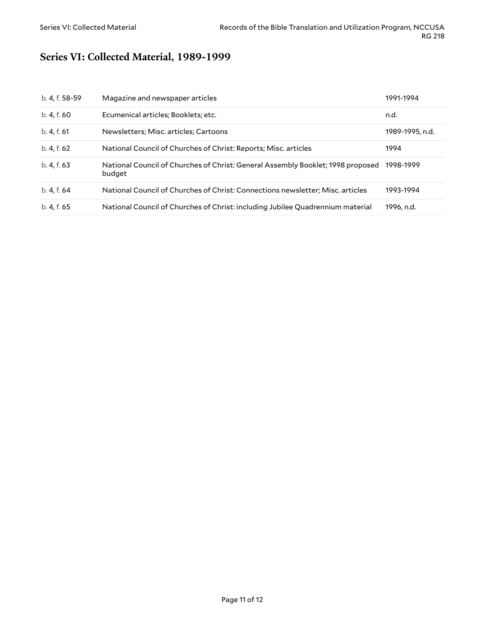# <span id="page-10-0"></span>**Series VI: Collected Material, 1989-1999**

| b. 4, f. 58-59 | Magazine and newspaper articles                                                           | 1991-1994       |
|----------------|-------------------------------------------------------------------------------------------|-----------------|
| b. 4, f. 60    | Ecumenical articles; Booklets; etc.                                                       | n.d.            |
| b. 4, f. 61    | Newsletters; Misc. articles; Cartoons                                                     | 1989-1995, n.d. |
| b. 4, f. 62    | National Council of Churches of Christ: Reports; Misc. articles                           | 1994            |
| b. 4, f. 63    | National Council of Churches of Christ: General Assembly Booklet; 1998 proposed<br>budget | 1998-1999       |
| b. 4, f. 64    | National Council of Churches of Christ: Connections newsletter; Misc. articles            | 1993-1994       |
| b. 4, f. 65    | National Council of Churches of Christ: including Jubilee Quadrennium material            | 1996, n.d.      |